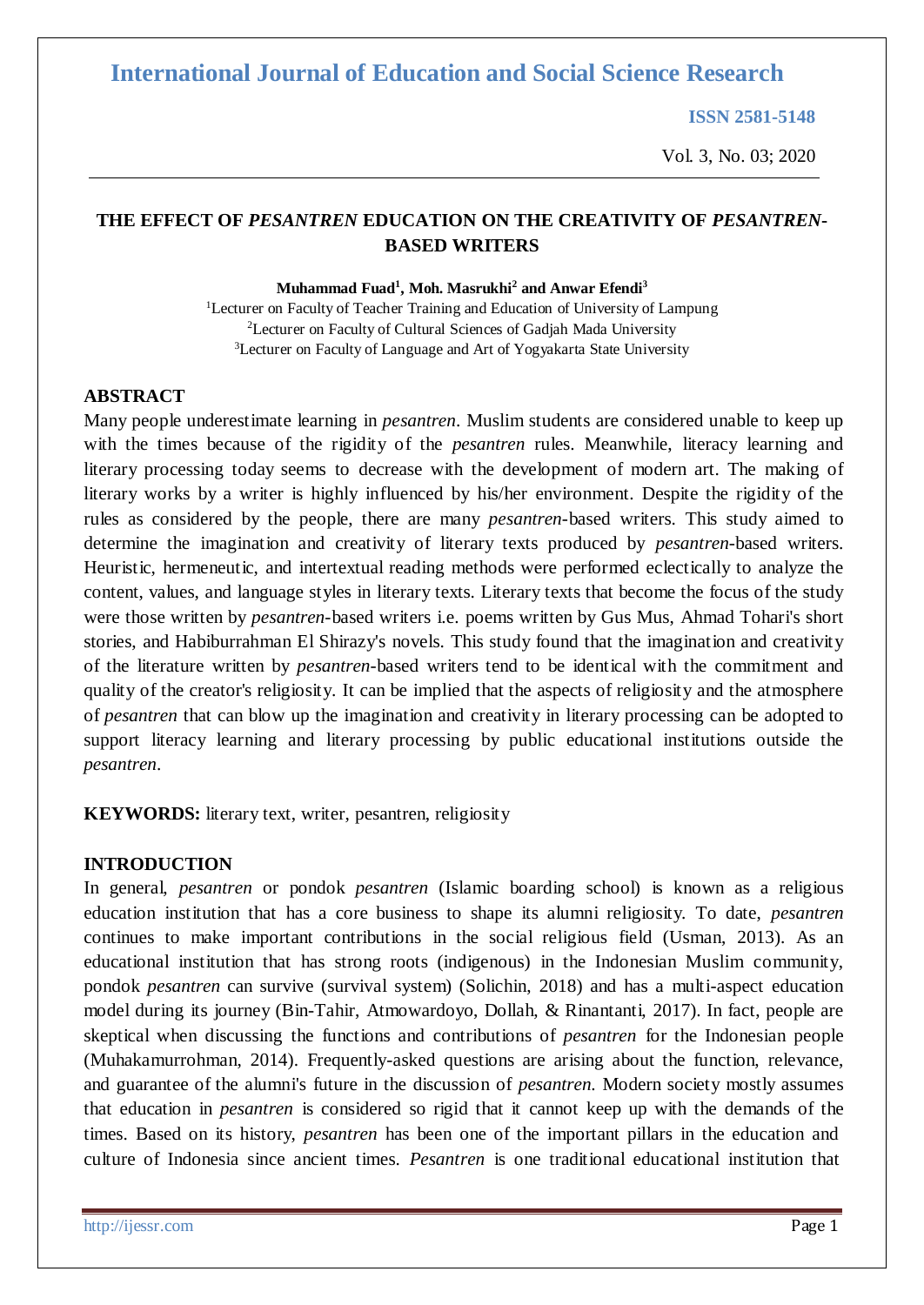**ISSN 2581-5148**

Vol. 3, No. 03; 2020

#### **THE EFFECT OF** *PESANTREN* **EDUCATION ON THE CREATIVITY OF** *PESANTREN***-BASED WRITERS**

**Muhammad Fuad 1 , Moh. Masrukhi 2 and Anwar Efendi 3**

<sup>1</sup>Lecturer on Faculty of Teacher Training and Education of University of Lampung <sup>2</sup>Lecturer on Faculty of Cultural Sciences of Gadjah Mada University <sup>3</sup>Lecturer on Faculty of Language and Art of Yogyakarta State University

#### **ABSTRACT**

Many people underestimate learning in *pesantren*. Muslim students are considered unable to keep up with the times because of the rigidity of the *pesantren* rules. Meanwhile, literacy learning and literary processing today seems to decrease with the development of modern art. The making of literary works by a writer is highly influenced by his/her environment. Despite the rigidity of the rules as considered by the people, there are many *pesantren*-based writers. This study aimed to determine the imagination and creativity of literary texts produced by *pesantren*-based writers. Heuristic, hermeneutic, and intertextual reading methods were performed eclectically to analyze the content, values, and language styles in literary texts. Literary texts that become the focus of the study were those written by *pesantren*-based writers i.e. poems written by Gus Mus, Ahmad Tohari's short stories, and Habiburrahman El Shirazy's novels. This study found that the imagination and creativity of the literature written by *pesantren*-based writers tend to be identical with the commitment and quality of the creator's religiosity. It can be implied that the aspects of religiosity and the atmosphere of *pesantren* that can blow up the imagination and creativity in literary processing can be adopted to support literacy learning and literary processing by public educational institutions outside the *pesantren*.

**KEYWORDS:** literary text, writer, pesantren, religiosity

#### **INTRODUCTION**

In general, *pesantren* or pondok *pesantren* (Islamic boarding school) is known as a religious education institution that has a core business to shape its alumni religiosity. To date, *pesantren*  continues to make important contributions in the social religious field (Usman, 2013). As an educational institution that has strong roots (indigenous) in the Indonesian Muslim community, pondok *pesantren* can survive (survival system) (Solichin, 2018) and has a multi-aspect education model during its journey (Bin-Tahir, Atmowardoyo, Dollah, & Rinantanti, 2017). In fact, people are skeptical when discussing the functions and contributions of *pesantren* for the Indonesian people (Muhakamurrohman, 2014). Frequently-asked questions are arising about the function, relevance, and guarantee of the alumni's future in the discussion of *pesantren*. Modern society mostly assumes that education in *pesantren* is considered so rigid that it cannot keep up with the demands of the times. Based on its history, *pesantren* has been one of the important pillars in the education and culture of Indonesia since ancient times. *Pesantren* is one traditional educational institution that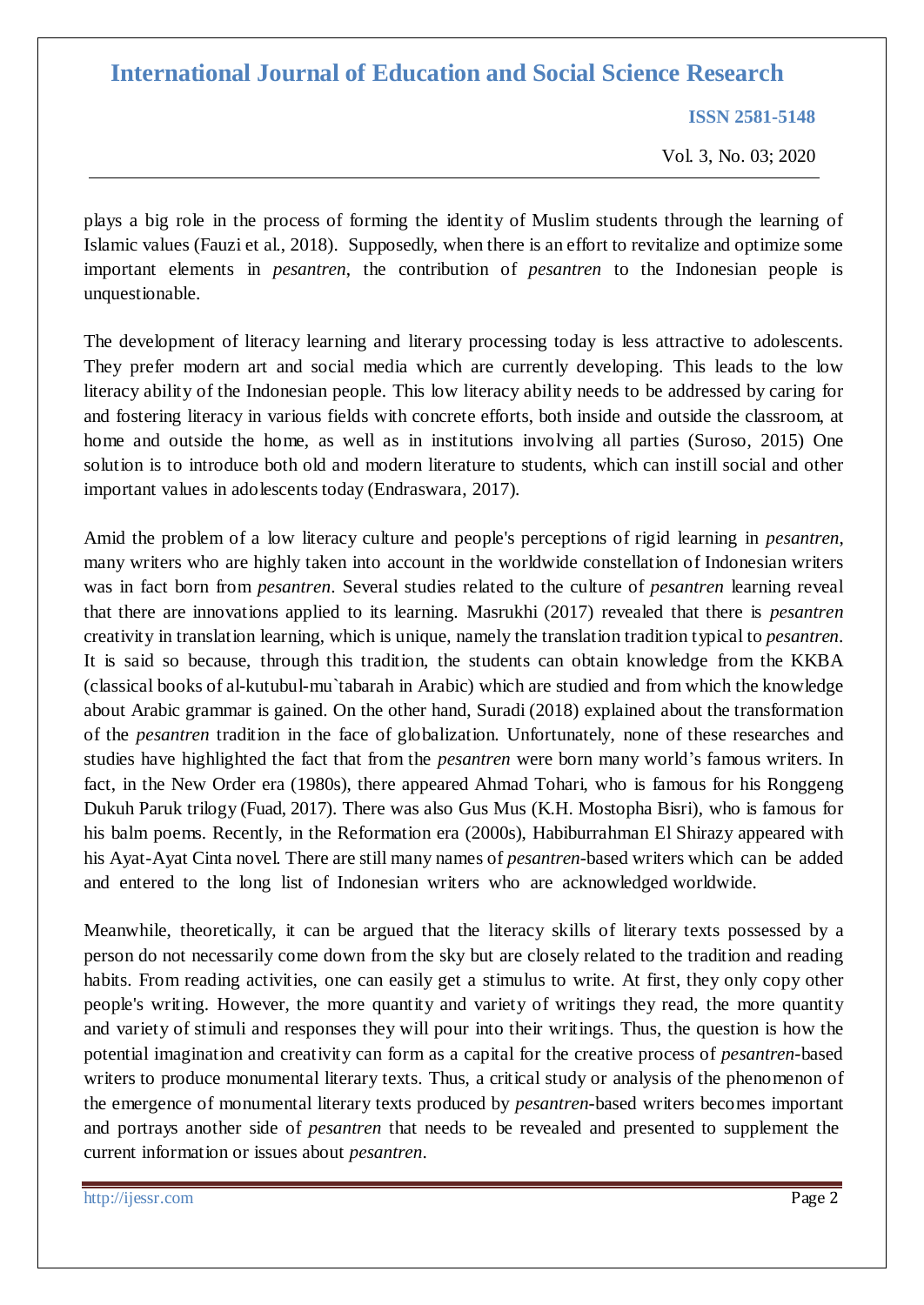**ISSN 2581-5148**

Vol. 3, No. 03; 2020

plays a big role in the process of forming the identity of Muslim students through the learning of Islamic values (Fauzi et al., 2018). Supposedly, when there is an effort to revitalize and optimize some important elements in *pesantren*, the contribution of *pesantren* to the Indonesian people is unquestionable.

The development of literacy learning and literary processing today is less attractive to adolescents. They prefer modern art and social media which are currently developing. This leads to the low literacy ability of the Indonesian people. This low literacy ability needs to be addressed by caring for and fostering literacy in various fields with concrete efforts, both inside and outside the classroom, at home and outside the home, as well as in institutions involving all parties (Suroso, 2015) One solution is to introduce both old and modern literature to students, which can instill social and other important values in adolescents today (Endraswara, 2017).

Amid the problem of a low literacy culture and people's perceptions of rigid learning in *pesantren*, many writers who are highly taken into account in the worldwide constellation of Indonesian writers was in fact born from *pesantren*. Several studies related to the culture of *pesantren* learning reveal that there are innovations applied to its learning. Masrukhi (2017) revealed that there is *pesantren*  creativity in translation learning, which is unique, namely the translation tradition typical to *pesantren*. It is said so because, through this tradition, the students can obtain knowledge from the KKBA (classical books of al-kutubul-mu`tabarah in Arabic) which are studied and from which the knowledge about Arabic grammar is gained. On the other hand, Suradi (2018) explained about the transformation of the *pesantren* tradition in the face of globalization. Unfortunately, none of these researches and studies have highlighted the fact that from the *pesantren* were born many world's famous writers. In fact, in the New Order era (1980s), there appeared Ahmad Tohari, who is famous for his Ronggeng Dukuh Paruk trilogy (Fuad, 2017). There was also Gus Mus (K.H. Mostopha Bisri), who is famous for his balm poems. Recently, in the Reformation era (2000s), Habiburrahman El Shirazy appeared with his Ayat-Ayat Cinta novel. There are still many names of *pesantren*-based writers which can be added and entered to the long list of Indonesian writers who are acknowledged worldwide.

Meanwhile, theoretically, it can be argued that the literacy skills of literary texts possessed by a person do not necessarily come down from the sky but are closely related to the tradition and reading habits. From reading activities, one can easily get a stimulus to write. At first, they only copy other people's writing. However, the more quantity and variety of writings they read, the more quantity and variety of stimuli and responses they will pour into their writings. Thus, the question is how the potential imagination and creativity can form as a capital for the creative process of *pesantren*-based writers to produce monumental literary texts. Thus, a critical study or analysis of the phenomenon of the emergence of monumental literary texts produced by *pesantren*-based writers becomes important and portrays another side of *pesantren* that needs to be revealed and presented to supplement the current information or issues about *pesantren*.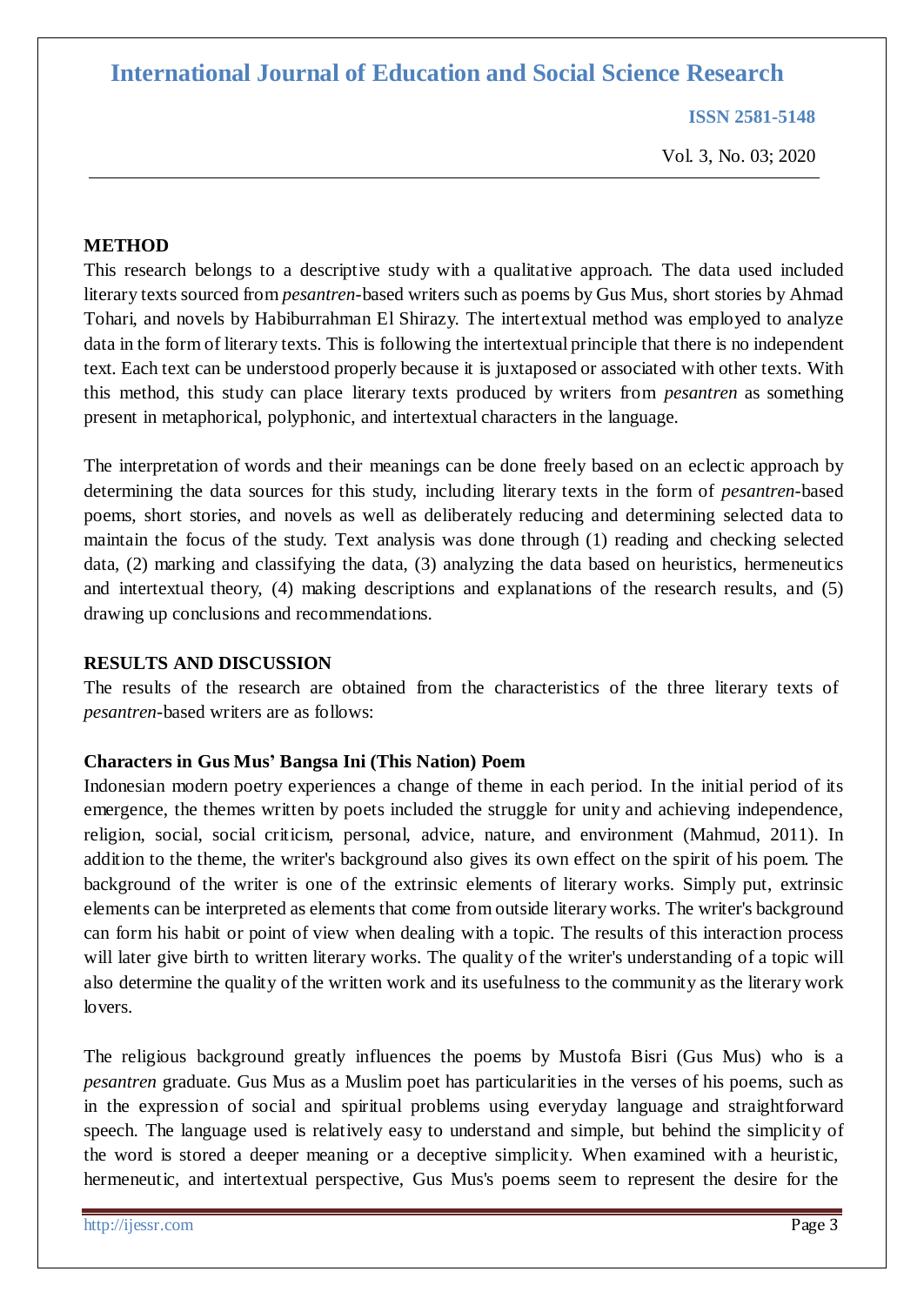**ISSN 2581-5148**

Vol. 3, No. 03; 2020

#### **METHOD**

This research belongs to a descriptive study with a qualitative approach. The data used included literary texts sourced from *pesantren*-based writers such as poems by Gus Mus, short stories by Ahmad Tohari, and novels by Habiburrahman El Shirazy. The intertextual method was employed to analyze data in the form of literary texts. This is following the intertextual principle that there is no independent text. Each text can be understood properly because it is juxtaposed or associated with other texts. With this method, this study can place literary texts produced by writers from *pesantren* as something present in metaphorical, polyphonic, and intertextual characters in the language.

The interpretation of words and their meanings can be done freely based on an eclectic approach by determining the data sources for this study, including literary texts in the form of *pesantren*-based poems, short stories, and novels as well as deliberately reducing and determining selected data to maintain the focus of the study. Text analysis was done through (1) reading and checking selected data, (2) marking and classifying the data, (3) analyzing the data based on heuristics, hermeneutics and intertextual theory, (4) making descriptions and explanations of the research results, and (5) drawing up conclusions and recommendations.

#### **RESULTS AND DISCUSSION**

The results of the research are obtained from the characteristics of the three literary texts of *pesantren*-based writers are as follows:

#### **Characters in Gus Mus' Bangsa Ini (This Nation) Poem**

Indonesian modern poetry experiences a change of theme in each period. In the initial period of its emergence, the themes written by poets included the struggle for unity and achieving independence, religion, social, social criticism, personal, advice, nature, and environment (Mahmud, 2011). In addition to the theme, the writer's background also gives its own effect on the spirit of his poem. The background of the writer is one of the extrinsic elements of literary works. Simply put, extrinsic elements can be interpreted as elements that come from outside literary works. The writer's background can form his habit or point of view when dealing with a topic. The results of this interaction process will later give birth to written literary works. The quality of the writer's understanding of a topic will also determine the quality of the written work and its usefulness to the community as the literary work lovers.

The religious background greatly influences the poems by Mustofa Bisri (Gus Mus) who is a *pesantren* graduate. Gus Mus as a Muslim poet has particularities in the verses of his poems, such as in the expression of social and spiritual problems using everyday language and straightforward speech. The language used is relatively easy to understand and simple, but behind the simplicity of the word is stored a deeper meaning or a deceptive simplicity. When examined with a heuristic, hermeneutic, and intertextual perspective, Gus Mus's poems seem to represent the desire for the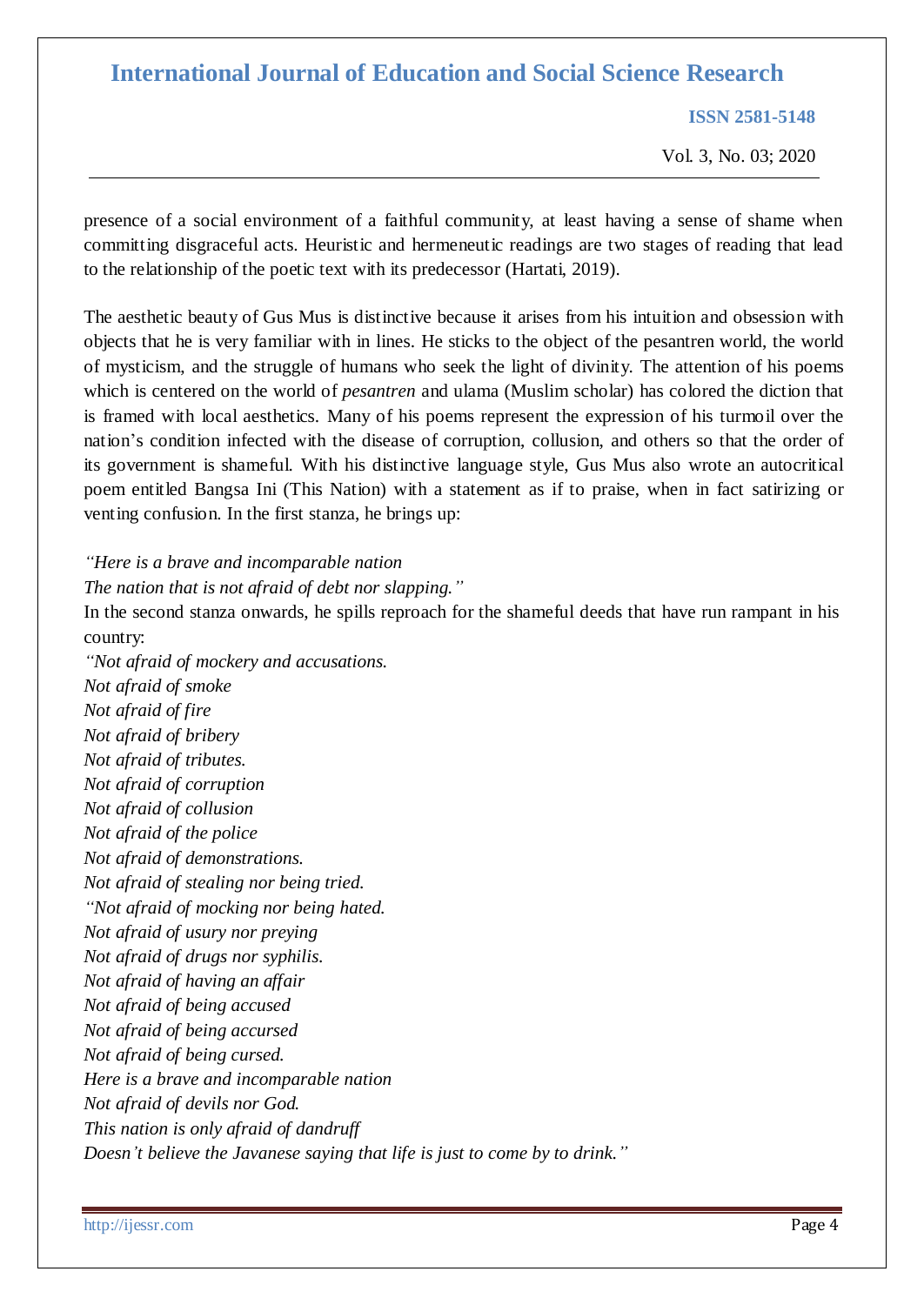**ISSN 2581-5148**

Vol. 3, No. 03; 2020

presence of a social environment of a faithful community, at least having a sense of shame when committing disgraceful acts. Heuristic and hermeneutic readings are two stages of reading that lead to the relationship of the poetic text with its predecessor (Hartati, 2019).

The aesthetic beauty of Gus Mus is distinctive because it arises from his intuition and obsession with objects that he is very familiar with in lines. He sticks to the object of the pesantren world, the world of mysticism, and the struggle of humans who seek the light of divinity. The attention of his poems which is centered on the world of *pesantren* and ulama (Muslim scholar) has colored the diction that is framed with local aesthetics. Many of his poems represent the expression of his turmoil over the nation's condition infected with the disease of corruption, collusion, and others so that the order of its government is shameful. With his distinctive language style, Gus Mus also wrote an autocritical poem entitled Bangsa Ini (This Nation) with a statement as if to praise, when in fact satirizing or venting confusion. In the first stanza, he brings up:

*"Here is a brave and incomparable nation*

*The nation that is not afraid of debt nor slapping."*

In the second stanza onwards, he spills reproach for the shameful deeds that have run rampant in his country:

*"Not afraid of mockery and accusations. Not afraid of smoke Not afraid of fire Not afraid of bribery Not afraid of tributes. Not afraid of corruption Not afraid of collusion Not afraid of the police Not afraid of demonstrations. Not afraid of stealing nor being tried. "Not afraid of mocking nor being hated. Not afraid of usury nor preying Not afraid of drugs nor syphilis. Not afraid of having an affair Not afraid of being accused Not afraid of being accursed Not afraid of being cursed. Here is a brave and incomparable nation Not afraid of devils nor God. This nation is only afraid of dandruff Doesn't believe the Javanese saying that life is just to come by to drink."*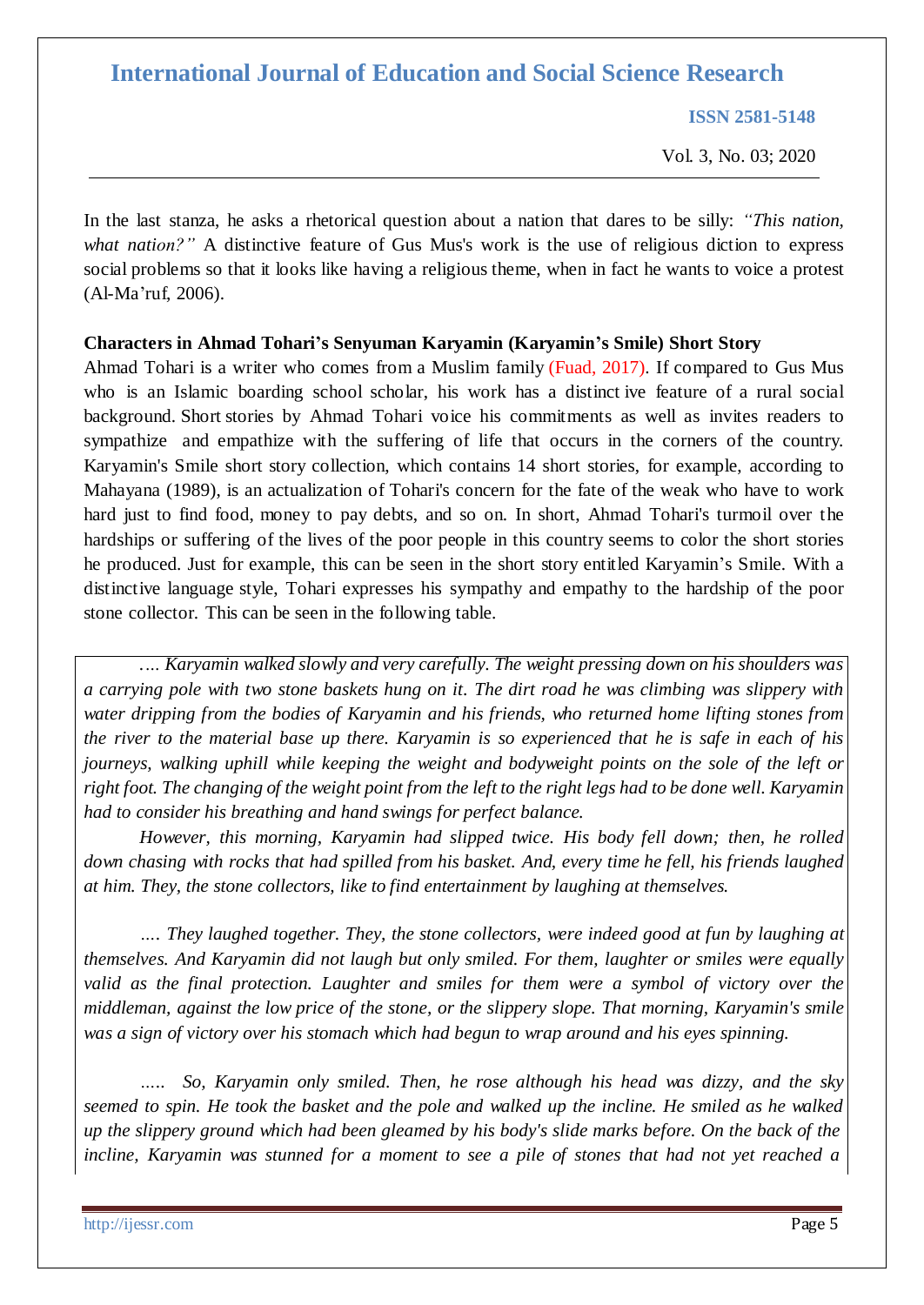**ISSN 2581-5148**

Vol. 3, No. 03; 2020

In the last stanza, he asks a rhetorical question about a nation that dares to be silly: *"This nation, what nation?"* A distinctive feature of Gus Mus's work is the use of religious diction to express social problems so that it looks like having a religious theme, when in fact he wants to voice a protest (Al-Ma'ruf, 2006).

#### **Characters in Ahmad Tohari's Senyuman Karyamin (Karyamin's Smile) Short Story**

Ahmad Tohari is a writer who comes from a Muslim family (Fuad, 2017). If compared to Gus Mus who is an Islamic boarding school scholar, his work has a distinct ive feature of a rural social background. Short stories by Ahmad Tohari voice his commitments as well as invites readers to sympathize and empathize with the suffering of life that occurs in the corners of the country. Karyamin's Smile short story collection, which contains 14 short stories, for example, according to Mahayana (1989), is an actualization of Tohari's concern for the fate of the weak who have to work hard just to find food, money to pay debts, and so on. In short, Ahmad Tohari's turmoil over the hardships or suffering of the lives of the poor people in this country seems to color the short stories he produced. Just for example, this can be seen in the short story entitled Karyamin's Smile. With a distinctive language style, Tohari expresses his sympathy and empathy to the hardship of the poor stone collector. This can be seen in the following table.

*.… Karyamin walked slowly and very carefully. The weight pressing down on his shoulders was a carrying pole with two stone baskets hung on it. The dirt road he was climbing was slippery with water dripping from the bodies of Karyamin and his friends, who returned home lifting stones from* the river to the material base up there. Karyamin is so experienced that he is safe in each of his *journeys, walking uphill while keeping the weight and bodyweight points on the sole of the left or*  right foot. The changing of the weight point from the left to the right legs had to be done well. Karyamin *had to consider his breathing and hand swings for perfect balance.*

*However, this morning, Karyamin had slipped twice. His body fell down; then, he rolled down chasing with rocks that had spilled from his basket. And, every time he fell, his friends laughed at him. They, the stone collectors, like to find entertainment by laughing at themselves.*

*…. They laughed together. They, the stone collectors, were indeed good at fun by laughing at themselves. And Karyamin did not laugh but only smiled. For them, laughter or smiles were equally valid as the final protection. Laughter and smiles for them were a symbol of victory over the middleman, against the low price of the stone, or the slippery slope. That morning, Karyamin's smile was a sign of victory over his stomach which had begun to wrap around and his eyes spinning.*

*….. So, Karyamin only smiled. Then, he rose although his head was dizzy, and the sky*  seemed to spin. He took the basket and the pole and walked up the incline. He smiled as he walked up the slippery ground which had been gleamed by his body's slide marks before. On the back of the incline, Karyamin was stunned for a moment to see a pile of stones that had not yet reached a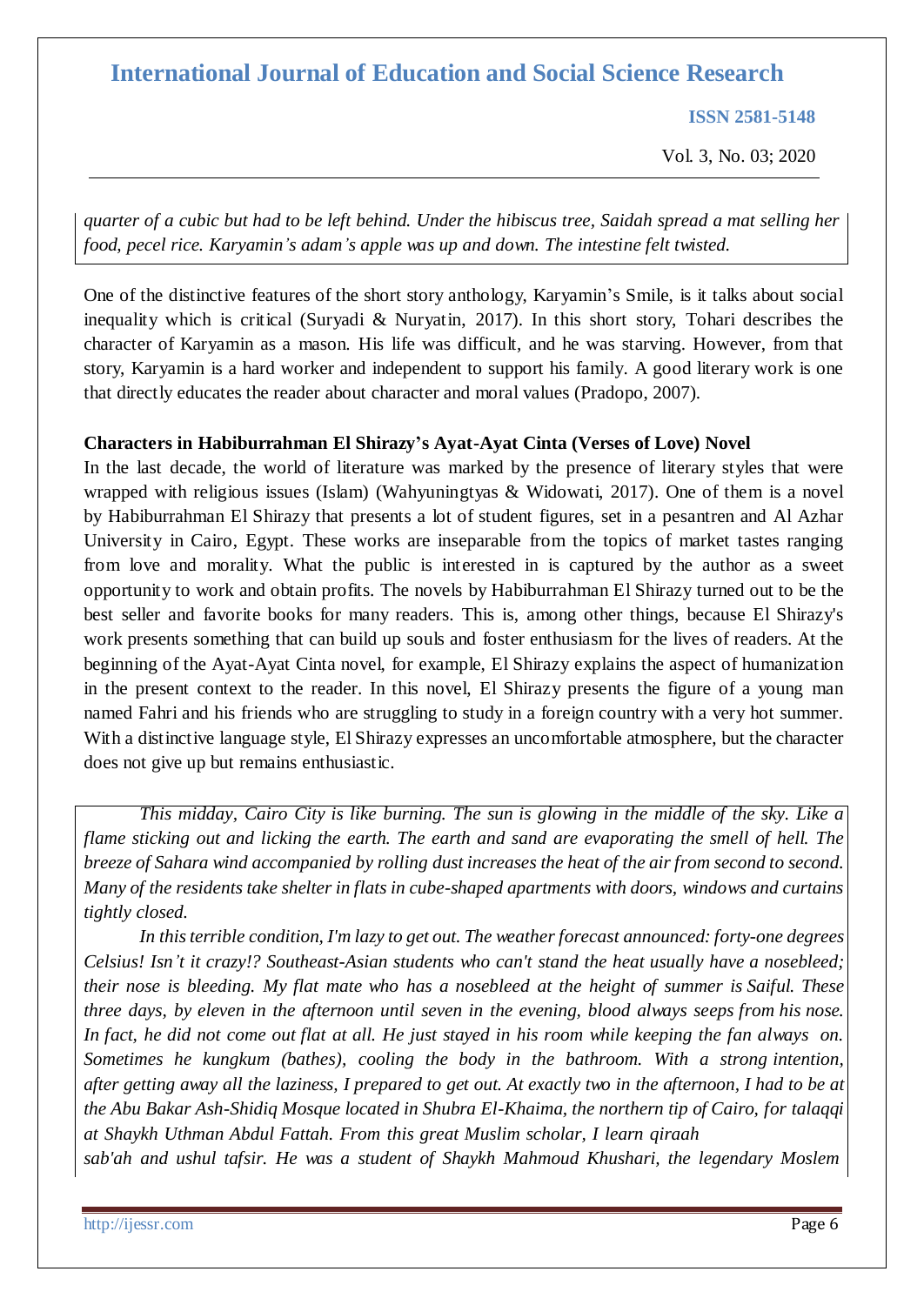**ISSN 2581-5148**

Vol. 3, No. 03; 2020

quarter of a cubic but had to be left behind. Under the hibiscus tree, Saidah spread a mat selling her *food, pecel rice. Karyamin's adam's apple was up and down. The intestine felt twisted.*

One of the distinctive features of the short story anthology, Karyamin's Smile, is it talks about social inequality which is critical (Suryadi & Nuryatin, 2017). In this short story, Tohari describes the character of Karyamin as a mason. His life was difficult, and he was starving. However, from that story, Karyamin is a hard worker and independent to support his family. A good literary work is one that directly educates the reader about character and moral values (Pradopo, 2007).

#### **Characters in Habiburrahman El Shirazy's Ayat-Ayat Cinta (Verses of Love) Novel**

In the last decade, the world of literature was marked by the presence of literary styles that were wrapped with religious issues (Islam) (Wahyuningtyas & Widowati, 2017). One of them is a novel by Habiburrahman El Shirazy that presents a lot of student figures, set in a pesantren and Al Azhar University in Cairo, Egypt. These works are inseparable from the topics of market tastes ranging from love and morality. What the public is interested in is captured by the author as a sweet opportunity to work and obtain profits. The novels by Habiburrahman El Shirazy turned out to be the best seller and favorite books for many readers. This is, among other things, because El Shirazy's work presents something that can build up souls and foster enthusiasm for the lives of readers. At the beginning of the Ayat-Ayat Cinta novel, for example, El Shirazy explains the aspect of humanization in the present context to the reader. In this novel, El Shirazy presents the figure of a young man named Fahri and his friends who are struggling to study in a foreign country with a very hot summer. With a distinctive language style, El Shirazy expresses an uncomfortable atmosphere, but the character does not give up but remains enthusiastic.

*This midday, Cairo City is like burning. The sun is glowing in the middle of the sky. Like a flame sticking out and licking the earth. The earth and sand are evaporating the smell of hell. The breeze of Sahara wind accompanied by rolling dust increases the heat of the air from second to second. Many of the residents take shelter in flats in cube-shaped apartments with doors, windows and curtains tightly closed.*

*In thisterrible condition, I'm lazy to get out. The weatherforecast announced: forty-one degrees Celsius! Isn't it crazy!? Southeast-Asian students who can't stand the heat usually have a nosebleed; their nose is bleeding. My flat mate who has a nosebleed at the height of summer is Saiful. These three days, by eleven in the afternoon until seven in the evening, blood always seeps from his nose.* In fact, he did not come out flat at all. He just stayed in his room while keeping the fan always on. *Sometimes he kungkum (bathes), cooling the body in the bathroom. With a strong intention,* after getting away all the laziness, I prepared to get out. At exactly two in the afternoon, I had to be at *the Abu Bakar Ash-Shidiq Mosque located in Shubra El-Khaima, the northern tip of Cairo, for talaqqi at Shaykh Uthman Abdul Fattah. From this great Muslim scholar, I learn qiraah*

*sab'ah and ushul tafsir. He was a student of Shaykh Mahmoud Khushari, the legendary Moslem*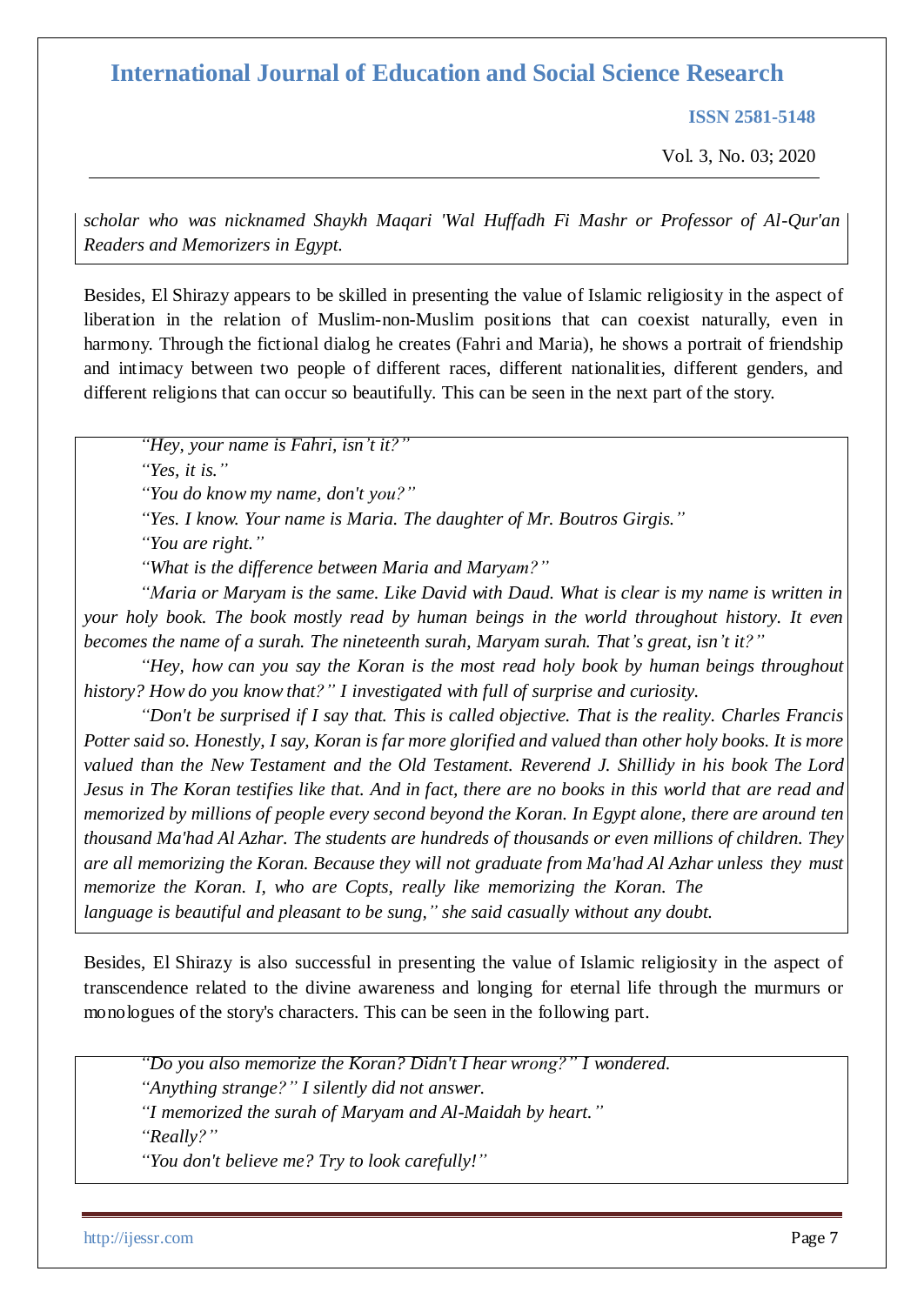**ISSN 2581-5148**

Vol. 3, No. 03; 2020

*scholar who was nicknamed Shaykh Maqari 'Wal Huffadh Fi Mashr or Professor of Al-Qur'an Readers and Memorizers in Egypt.*

Besides, El Shirazy appears to be skilled in presenting the value of Islamic religiosity in the aspect of liberation in the relation of Muslim-non-Muslim positions that can coexist naturally, even in harmony. Through the fictional dialog he creates (Fahri and Maria), he shows a portrait of friendship and intimacy between two people of different races, different nationalities, different genders, and different religions that can occur so beautifully. This can be seen in the next part of the story.

*"Hey, your name is Fahri, isn't it?"* 

*"Yes, it is."*

*"You do know my name, don't you?"*

*"Yes. I know. Your name is Maria. The daughter of Mr. Boutros Girgis."* 

*"You are right."*

*"What is the difference between Maria and Maryam?"*

*"Maria or Maryam is the same. Like David with Daud. What is clear is my name is written in your holy book. The book mostly read by human beings in the world throughout history. It even becomes the name of a surah. The nineteenth surah, Maryam surah. That's great, isn't it?"*

*"Hey, how can you say the Koran is the most read holy book by human beings throughout history? How do you know that?" I investigated with full of surprise and curiosity.*

*"Don't be surprised if I say that. This is called objective. That is the reality. Charles Francis Potter said so. Honestly, I say, Koran is far more glorified and valued than other holy books. It is more valued than the New Testament and the Old Testament. Reverend J. Shillidy in his book The Lord* Jesus in The Koran testifies like that. And in fact, there are no books in this world that are read and *memorized by millions of people every second beyond the Koran. In Egypt alone, there are around ten thousand Ma'had Al Azhar. The students are hundreds of thousands or even millions of children. They are all memorizing the Koran. Because they will not graduate from Ma'had Al Azhar unless they must memorize the Koran. I, who are Copts, really like memorizing the Koran. The language is beautiful and pleasant to be sung," she said casually without any doubt.*

Besides, El Shirazy is also successful in presenting the value of Islamic religiosity in the aspect of transcendence related to the divine awareness and longing for eternal life through the murmurs or monologues of the story's characters. This can be seen in the following part.

*"Do you also memorize the Koran? Didn't I hear wrong?" I wondered. "Anything strange?" I silently did not answer. "I memorized the surah of Maryam and Al-Maidah by heart." "Really?" "You don't believe me? Try to look carefully!"*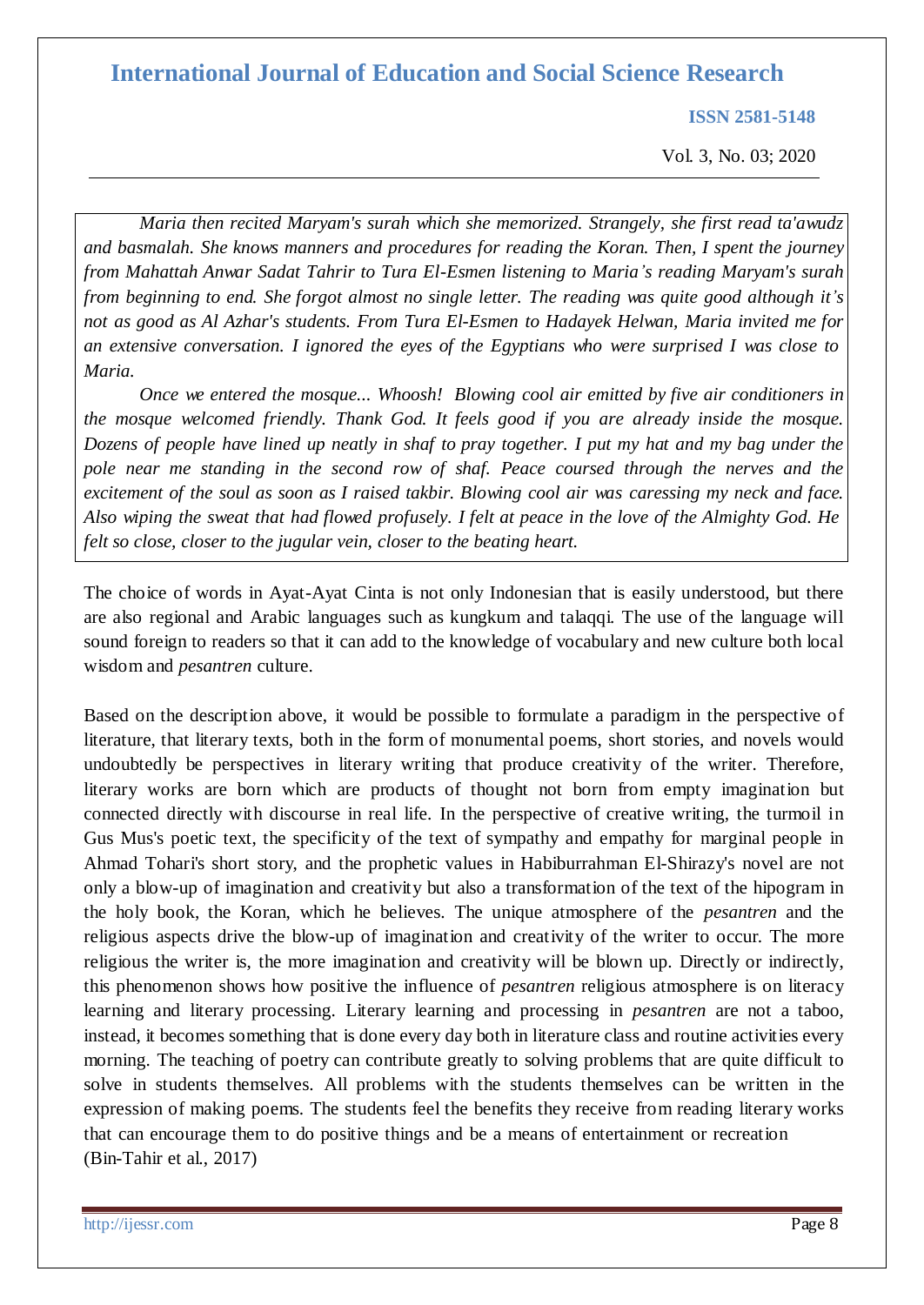**ISSN 2581-5148**

Vol. 3, No. 03; 2020

*Maria then recited Maryam's surah which she memorized. Strangely, she first read ta'awudz and basmalah. She knows manners and procedures for reading the Koran. Then, I spent the journey from Mahattah Anwar Sadat Tahrir to Tura El-Esmen listening to Maria's reading Maryam's surah from beginning to end. She forgot almost no single letter. The reading was quite good although it's not as good as Al Azhar's students. From Tura El-Esmen to Hadayek Helwan, Maria invited me for an extensive conversation. I ignored the eyes of the Egyptians who were surprised I was close to Maria.*

*Once we entered the mosque... Whoosh! Blowing cool air emitted by five air conditioners in the mosque welcomed friendly. Thank God. It feels good if you are already inside the mosque.*  Dozens of people have lined up neatly in shaf to pray together. I put my hat and my bag under the *pole near me standing in the second row of shaf. Peace coursed through the nerves and the*  excitement of the soul as soon as I raised takbir. Blowing cool air was caressing my neck and face. Also wiping the sweat that had flowed profusely. I felt at peace in the love of the Almighty God. He *felt so close, closer to the jugular vein, closer to the beating heart.*

The choice of words in Ayat-Ayat Cinta is not only Indonesian that is easily understood, but there are also regional and Arabic languages such as kungkum and talaqqi. The use of the language will sound foreign to readers so that it can add to the knowledge of vocabulary and new culture both local wisdom and *pesantren* culture.

Based on the description above, it would be possible to formulate a paradigm in the perspective of literature, that literary texts, both in the form of monumental poems, short stories, and novels would undoubtedly be perspectives in literary writing that produce creativity of the writer. Therefore, literary works are born which are products of thought not born from empty imagination but connected directly with discourse in real life. In the perspective of creative writing, the turmoil in Gus Mus's poetic text, the specificity of the text of sympathy and empathy for marginal people in Ahmad Tohari's short story, and the prophetic values in Habiburrahman El-Shirazy's novel are not only a blow-up of imagination and creativity but also a transformation of the text of the hipogram in the holy book, the Koran, which he believes. The unique atmosphere of the *pesantren* and the religious aspects drive the blow-up of imagination and creativity of the writer to occur. The more religious the writer is, the more imagination and creativity will be blown up. Directly or indirectly, this phenomenon shows how positive the influence of *pesantren* religious atmosphere is on literacy learning and literary processing. Literary learning and processing in *pesantren* are not a taboo, instead, it becomes something that is done every day both in literature class and routine activities every morning. The teaching of poetry can contribute greatly to solving problems that are quite difficult to solve in students themselves. All problems with the students themselves can be written in the expression of making poems. The students feel the benefits they receive from reading literary works that can encourage them to do positive things and be a means of entertainment or recreation (Bin-Tahir et al., 2017)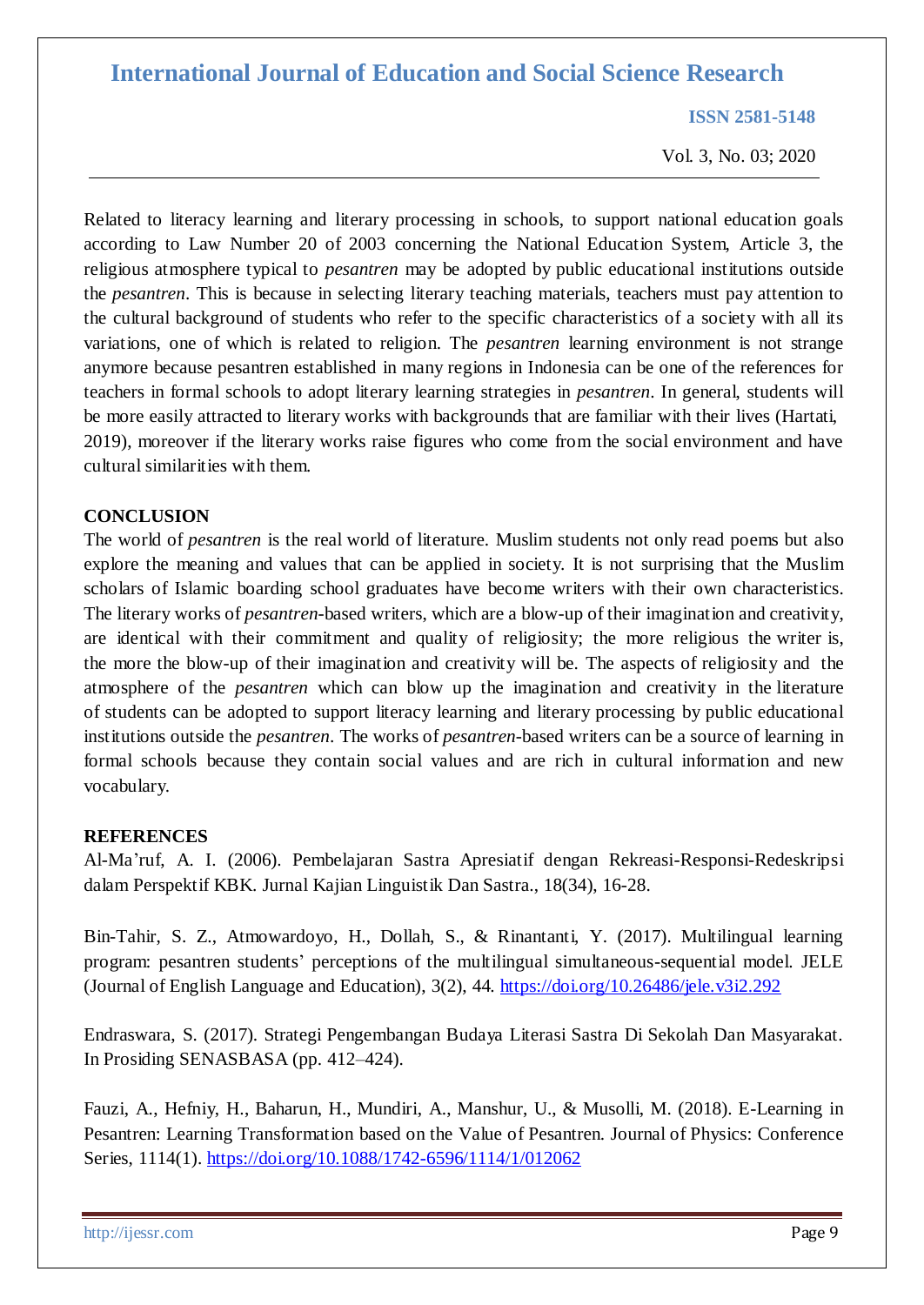**ISSN 2581-5148**

Vol. 3, No. 03; 2020

Related to literacy learning and literary processing in schools, to support national education goals according to Law Number 20 of 2003 concerning the National Education System, Article 3, the religious atmosphere typical to *pesantren* may be adopted by public educational institutions outside the *pesantren*. This is because in selecting literary teaching materials, teachers must pay attention to the cultural background of students who refer to the specific characteristics of a society with all its variations, one of which is related to religion. The *pesantren* learning environment is not strange anymore because pesantren established in many regions in Indonesia can be one of the references for teachers in formal schools to adopt literary learning strategies in *pesantren*. In general, students will be more easily attracted to literary works with backgrounds that are familiar with their lives (Hartati, 2019), moreover if the literary works raise figures who come from the social environment and have cultural similarities with them.

#### **CONCLUSION**

The world of *pesantren* is the real world of literature. Muslim students not only read poems but also explore the meaning and values that can be applied in society. It is not surprising that the Muslim scholars of Islamic boarding school graduates have become writers with their own characteristics. The literary works of *pesantren*-based writers, which are a blow-up of their imagination and creativity, are identical with their commitment and quality of religiosity; the more religious the writer is, the more the blow-up of their imagination and creativity will be. The aspects of religiosity and the atmosphere of the *pesantren* which can blow up the imagination and creativity in the literature of students can be adopted to support literacy learning and literary processing by public educational institutions outside the *pesantren*. The works of *pesantren*-based writers can be a source of learning in formal schools because they contain social values and are rich in cultural information and new vocabulary.

#### **REFERENCES**

Al-Ma'ruf, A. I. (2006). Pembelajaran Sastra Apresiatif dengan Rekreasi-Responsi-Redeskripsi dalam Perspektif KBK. Jurnal Kajian Linguistik Dan Sastra., 18(34), 16-28.

Bin-Tahir, S. Z., Atmowardoyo, H., Dollah, S., & Rinantanti, Y. (2017). Multilingual learning program: pesantren students' perceptions of the multilingual simultaneous-sequential model. JELE (Journal of English Language and Education), 3(2), 44. <https://doi.org/10.26486/jele.v3i2.292>

Endraswara, S. (2017). Strategi Pengembangan Budaya Literasi Sastra Di Sekolah Dan Masyarakat. In Prosiding SENASBASA (pp. 412–424).

Fauzi, A., Hefniy, H., Baharun, H., Mundiri, A., Manshur, U., & Musolli, M. (2018). E-Learning in Pesantren: Learning Transformation based on the Value of Pesantren. Journal of Physics: Conference Series, 1114(1).<https://doi.org/10.1088/1742-6596/1114/1/012062>